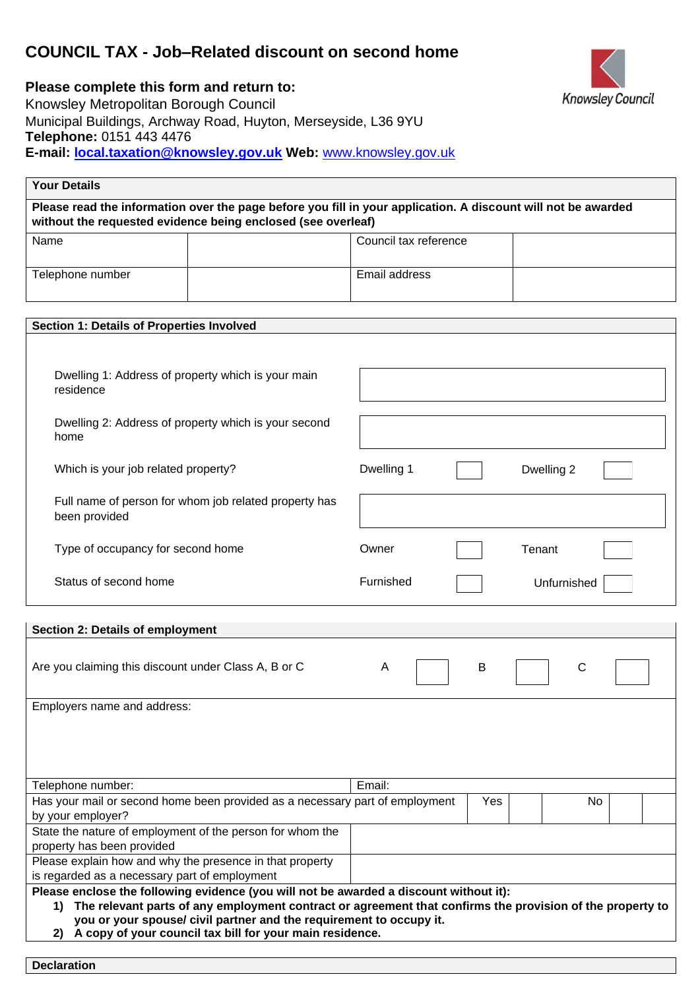# **COUNCIL TAX - Job–Related discount on second home**



**Please complete this form and return to:**  Knowsley Metropolitan Borough Council Municipal Buildings, Archway Road, Huyton, Merseyside, L36 9YU **Telephone:** 0151 443 4476 **E-mail: local.taxation@knowsley.gov.uk Web:** [www.knowsley.gov.uk](http://www.knowsley.gov.uk/) 

**Declaration** 

| <b>Your Details</b>                                                                                                                                                                                                                                                |                                                                                                                                                                               |                          |     |            |  |
|--------------------------------------------------------------------------------------------------------------------------------------------------------------------------------------------------------------------------------------------------------------------|-------------------------------------------------------------------------------------------------------------------------------------------------------------------------------|--------------------------|-----|------------|--|
|                                                                                                                                                                                                                                                                    | Please read the information over the page before you fill in your application. A discount will not be awarded<br>without the requested evidence being enclosed (see overleaf) |                          |     |            |  |
| Name                                                                                                                                                                                                                                                               |                                                                                                                                                                               | Council tax reference    |     |            |  |
| Telephone number                                                                                                                                                                                                                                                   |                                                                                                                                                                               | Email address            |     |            |  |
| Section 1: Details of Properties Involved                                                                                                                                                                                                                          |                                                                                                                                                                               |                          |     |            |  |
|                                                                                                                                                                                                                                                                    |                                                                                                                                                                               |                          |     |            |  |
| Dwelling 1: Address of property which is your main<br>residence                                                                                                                                                                                                    |                                                                                                                                                                               |                          |     |            |  |
| Dwelling 2: Address of property which is your second<br>home                                                                                                                                                                                                       |                                                                                                                                                                               |                          |     |            |  |
| Which is your job related property?                                                                                                                                                                                                                                |                                                                                                                                                                               | Dwelling 1               |     | Dwelling 2 |  |
| Full name of person for whom job related property has<br>been provided                                                                                                                                                                                             |                                                                                                                                                                               |                          |     |            |  |
| Type of occupancy for second home                                                                                                                                                                                                                                  |                                                                                                                                                                               | Owner                    |     | Tenant     |  |
| Status of second home                                                                                                                                                                                                                                              |                                                                                                                                                                               | Furnished<br>Unfurnished |     |            |  |
| Section 2: Details of employment                                                                                                                                                                                                                                   |                                                                                                                                                                               |                          |     |            |  |
| Are you claiming this discount under Class A, B or C                                                                                                                                                                                                               |                                                                                                                                                                               | A                        | B   | С          |  |
| Employers name and address:                                                                                                                                                                                                                                        |                                                                                                                                                                               |                          |     |            |  |
|                                                                                                                                                                                                                                                                    |                                                                                                                                                                               |                          |     |            |  |
| Email:<br>Telephone number:                                                                                                                                                                                                                                        |                                                                                                                                                                               |                          |     |            |  |
| Has your mail or second home been provided as a necessary part of employment<br>by your employer?                                                                                                                                                                  |                                                                                                                                                                               |                          | Yes | No.        |  |
| State the nature of employment of the person for whom the<br>property has been provided                                                                                                                                                                            |                                                                                                                                                                               |                          |     |            |  |
| Please explain how and why the presence in that property<br>is regarded as a necessary part of employment                                                                                                                                                          |                                                                                                                                                                               |                          |     |            |  |
| Please enclose the following evidence (you will not be awarded a discount without it):                                                                                                                                                                             |                                                                                                                                                                               |                          |     |            |  |
| The relevant parts of any employment contract or agreement that confirms the provision of the property to<br>$\mathbf{1}$<br>you or your spouse/ civil partner and the requirement to occupy it.<br>A copy of your council tax bill for your main residence.<br>2) |                                                                                                                                                                               |                          |     |            |  |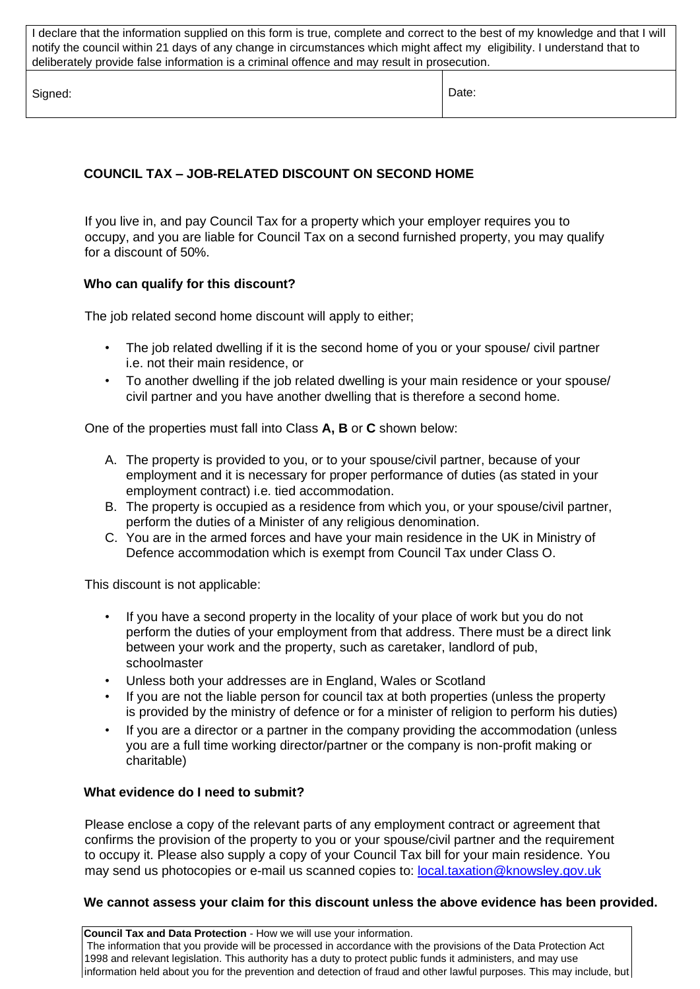I declare that the information supplied on this form is true, complete and correct to the best of my knowledge and that I will notify the council within 21 days of any change in circumstances which might affect my eligibility. I understand that to deliberately provide false information is a criminal offence and may result in prosecution.

Signed: **Date: Date: Date: Date: Date: Date: Date: Date: Date: Date: Date: Date: Date: Date: Date: Date: Date: Date: Date: Date: Date: Date: Date: Date: Date: Date: Date:** 

## **COUNCIL TAX – JOB-RELATED DISCOUNT ON SECOND HOME**

If you live in, and pay Council Tax for a property which your employer requires you to occupy, and you are liable for Council Tax on a second furnished property, you may qualify for a discount of 50%.

### **Who can qualify for this discount?**

The job related second home discount will apply to either;

- The job related dwelling if it is the second home of you or your spouse/ civil partner i.e. not their main residence, or
- To another dwelling if the job related dwelling is your main residence or your spouse/ civil partner and you have another dwelling that is therefore a second home.

One of the properties must fall into Class **A, B** or **C** shown below:

- A. The property is provided to you, or to your spouse/civil partner, because of your employment and it is necessary for proper performance of duties (as stated in your employment contract) i.e. tied accommodation.
- B. The property is occupied as a residence from which you, or your spouse/civil partner, perform the duties of a Minister of any religious denomination.
- C. You are in the armed forces and have your main residence in the UK in Ministry of Defence accommodation which is exempt from Council Tax under Class O.

This discount is not applicable:

- If you have a second property in the locality of your place of work but you do not perform the duties of your employment from that address. There must be a direct link between your work and the property, such as caretaker, landlord of pub, schoolmaster
- Unless both your addresses are in England, Wales or Scotland
- If you are not the liable person for council tax at both properties (unless the property is provided by the ministry of defence or for a minister of religion to perform his duties)
- If you are a director or a partner in the company providing the accommodation (unless you are a full time working director/partner or the company is non-profit making or charitable)

### **What evidence do I need to submit?**

Please enclose a copy of the relevant parts of any employment contract or agreement that confirms the provision of the property to you or your spouse/civil partner and the requirement to occupy it. Please also supply a copy of your Council Tax bill for your main residence. You may send us photocopies or e-mail us scanned copies to: local.taxation@knowsley.gov.uk

#### **We cannot assess your claim for this discount unless the above evidence has been provided.**

**Council Tax and Data Protection** - How we will use your information. The information that you provide will be processed in accordance with the provisions of the Data Protection Act 1998 and relevant legislation. This authority has a duty to protect public funds it administers, and may use information held about you for the prevention and detection of fraud and other lawful purposes. This may include, but